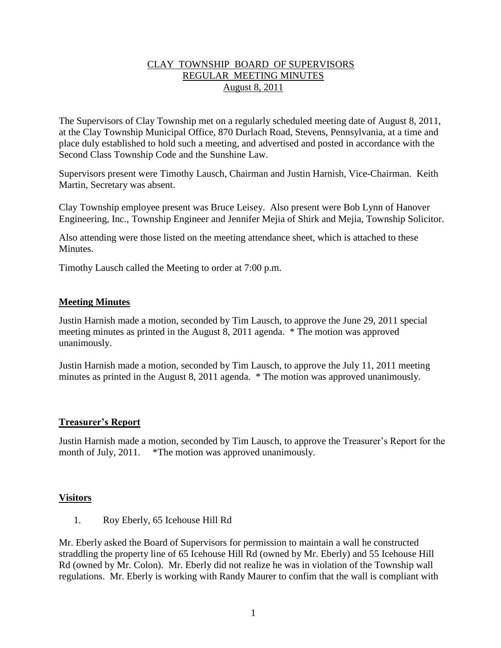## CLAY TOWNSHIP BOARD OF SUPERVISORS REGULAR MEETING MINUTES August 8, 2011

The Supervisors of Clay Township met on a regularly scheduled meeting date of August 8, 2011, at the Clay Township Municipal Office, 870 Durlach Road, Stevens, Pennsylvania, at a time and place duly established to hold such a meeting, and advertised and posted in accordance with the Second Class Township Code and the Sunshine Law.

Supervisors present were Timothy Lausch, Chairman and Justin Harnish, Vice-Chairman. Keith Martin, Secretary was absent.

Clay Township employee present was Bruce Leisey. Also present were Bob Lynn of Hanover Engineering, Inc., Township Engineer and Jennifer Mejia of Shirk and Mejia, Township Solicitor.

Also attending were those listed on the meeting attendance sheet, which is attached to these Minutes.

Timothy Lausch called the Meeting to order at 7:00 p.m.

### **Meeting Minutes**

Justin Harnish made a motion, seconded by Tim Lausch, to approve the June 29, 2011 special meeting minutes as printed in the August 8, 2011 agenda. \* The motion was approved unanimously.

Justin Harnish made a motion, seconded by Tim Lausch, to approve the July 11, 2011 meeting minutes as printed in the August 8, 2011 agenda. \* The motion was approved unanimously.

#### **Treasurer's Report**

Justin Harnish made a motion, seconded by Tim Lausch, to approve the Treasurer's Report for the month of July, 2011. \*The motion was approved unanimously.

#### **Visitors**

1. Roy Eberly, 65 Icehouse Hill Rd

Mr. Eberly asked the Board of Supervisors for permission to maintain a wall he constructed straddling the property line of 65 Icehouse Hill Rd (owned by Mr. Eberly) and 55 Icehouse Hill Rd (owned by Mr. Colon). Mr. Eberly did not realize he was in violation of the Township wall regulations. Mr. Eberly is working with Randy Maurer to confim that the wall is compliant with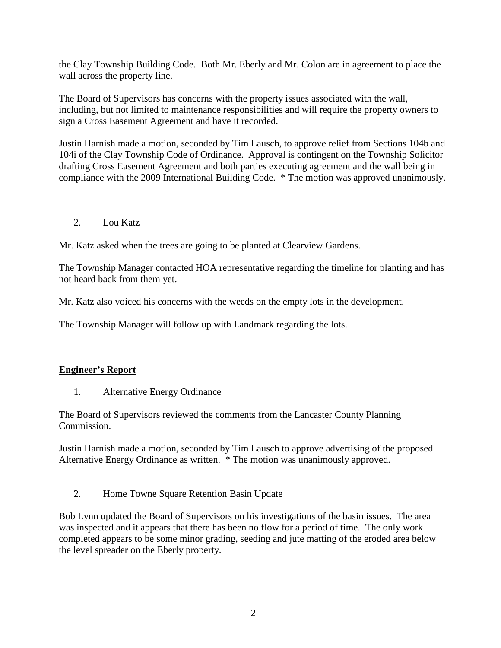the Clay Township Building Code. Both Mr. Eberly and Mr. Colon are in agreement to place the wall across the property line.

The Board of Supervisors has concerns with the property issues associated with the wall, including, but not limited to maintenance responsibilities and will require the property owners to sign a Cross Easement Agreement and have it recorded.

Justin Harnish made a motion, seconded by Tim Lausch, to approve relief from Sections 104b and 104i of the Clay Township Code of Ordinance. Approval is contingent on the Township Solicitor drafting Cross Easement Agreement and both parties executing agreement and the wall being in compliance with the 2009 International Building Code. \* The motion was approved unanimously.

2. Lou Katz

Mr. Katz asked when the trees are going to be planted at Clearview Gardens.

The Township Manager contacted HOA representative regarding the timeline for planting and has not heard back from them yet.

Mr. Katz also voiced his concerns with the weeds on the empty lots in the development.

The Township Manager will follow up with Landmark regarding the lots.

#### **Engineer's Report**

1. Alternative Energy Ordinance

The Board of Supervisors reviewed the comments from the Lancaster County Planning Commission.

Justin Harnish made a motion, seconded by Tim Lausch to approve advertising of the proposed Alternative Energy Ordinance as written. \* The motion was unanimously approved.

2. Home Towne Square Retention Basin Update

Bob Lynn updated the Board of Supervisors on his investigations of the basin issues. The area was inspected and it appears that there has been no flow for a period of time. The only work completed appears to be some minor grading, seeding and jute matting of the eroded area below the level spreader on the Eberly property.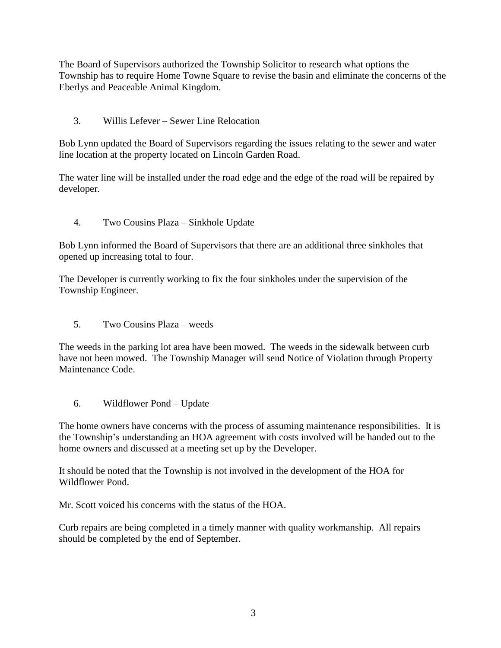The Board of Supervisors authorized the Township Solicitor to research what options the Township has to require Home Towne Square to revise the basin and eliminate the concerns of the Eberlys and Peaceable Animal Kingdom.

3. Willis Lefever – Sewer Line Relocation

Bob Lynn updated the Board of Supervisors regarding the issues relating to the sewer and water line location at the property located on Lincoln Garden Road.

The water line will be installed under the road edge and the edge of the road will be repaired by developer.

4. Two Cousins Plaza – Sinkhole Update

Bob Lynn informed the Board of Supervisors that there are an additional three sinkholes that opened up increasing total to four.

The Developer is currently working to fix the four sinkholes under the supervision of the Township Engineer.

5. Two Cousins Plaza – weeds

The weeds in the parking lot area have been mowed. The weeds in the sidewalk between curb have not been mowed. The Township Manager will send Notice of Violation through Property Maintenance Code.

6. Wildflower Pond – Update

The home owners have concerns with the process of assuming maintenance responsibilities. It is the Township's understanding an HOA agreement with costs involved will be handed out to the home owners and discussed at a meeting set up by the Developer.

It should be noted that the Township is not involved in the development of the HOA for Wildflower Pond.

Mr. Scott voiced his concerns with the status of the HOA.

Curb repairs are being completed in a timely manner with quality workmanship. All repairs should be completed by the end of September.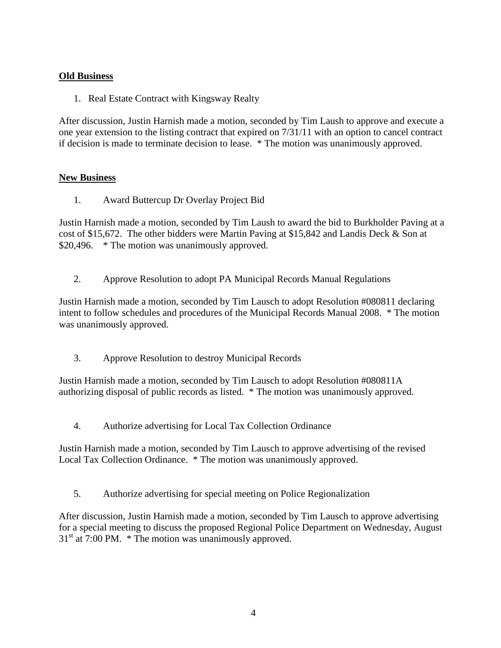# **Old Business**

1. Real Estate Contract with Kingsway Realty

After discussion, Justin Harnish made a motion, seconded by Tim Laush to approve and execute a one year extension to the listing contract that expired on 7/31/11 with an option to cancel contract if decision is made to terminate decision to lease. \* The motion was unanimously approved.

# **New Business**

1. Award Buttercup Dr Overlay Project Bid

Justin Harnish made a motion, seconded by Tim Laush to award the bid to Burkholder Paving at a cost of \$15,672. The other bidders were Martin Paving at \$15,842 and Landis Deck & Son at \$20,496. \* The motion was unanimously approved.

2. Approve Resolution to adopt PA Municipal Records Manual Regulations

Justin Harnish made a motion, seconded by Tim Lausch to adopt Resolution #080811 declaring intent to follow schedules and procedures of the Municipal Records Manual 2008. \* The motion was unanimously approved.

3. Approve Resolution to destroy Municipal Records

Justin Harnish made a motion, seconded by Tim Lausch to adopt Resolution #080811A authorizing disposal of public records as listed. \* The motion was unanimously approved.

4. Authorize advertising for Local Tax Collection Ordinance

Justin Harnish made a motion, seconded by Tim Lausch to approve advertising of the revised Local Tax Collection Ordinance. \* The motion was unanimously approved.

5. Authorize advertising for special meeting on Police Regionalization

After discussion, Justin Harnish made a motion, seconded by Tim Lausch to approve advertising for a special meeting to discuss the proposed Regional Police Department on Wednesday, August  $31<sup>st</sup>$  at 7:00 PM.  $*$  The motion was unanimously approved.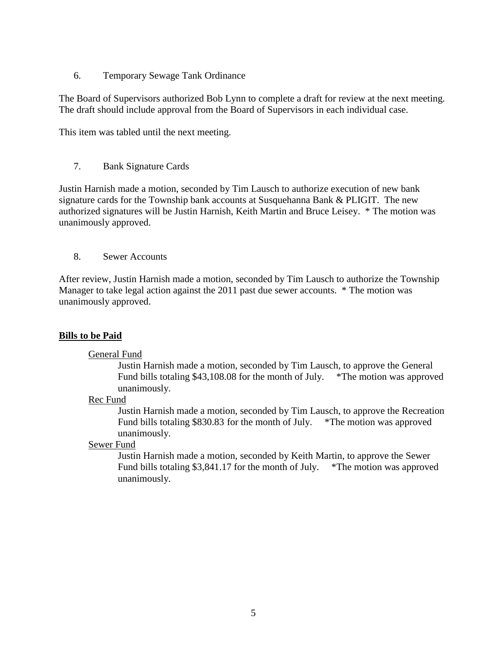6. Temporary Sewage Tank Ordinance

The Board of Supervisors authorized Bob Lynn to complete a draft for review at the next meeting. The draft should include approval from the Board of Supervisors in each individual case.

This item was tabled until the next meeting.

## 7. Bank Signature Cards

Justin Harnish made a motion, seconded by Tim Lausch to authorize execution of new bank signature cards for the Township bank accounts at Susquehanna Bank & PLIGIT. The new authorized signatures will be Justin Harnish, Keith Martin and Bruce Leisey. \* The motion was unanimously approved.

8. Sewer Accounts

After review, Justin Harnish made a motion, seconded by Tim Lausch to authorize the Township Manager to take legal action against the 2011 past due sewer accounts. \* The motion was unanimously approved.

# **Bills to be Paid**

#### General Fund

Justin Harnish made a motion, seconded by Tim Lausch, to approve the General Fund bills totaling \$43,108.08 for the month of July. \*The motion was approved unanimously.

#### Rec Fund

Justin Harnish made a motion, seconded by Tim Lausch, to approve the Recreation Fund bills totaling \$830.83 for the month of July. \*The motion was approved unanimously.

## Sewer Fund

Justin Harnish made a motion, seconded by Keith Martin, to approve the Sewer Fund bills totaling \$3,841.17 for the month of July. \*The motion was approved unanimously.